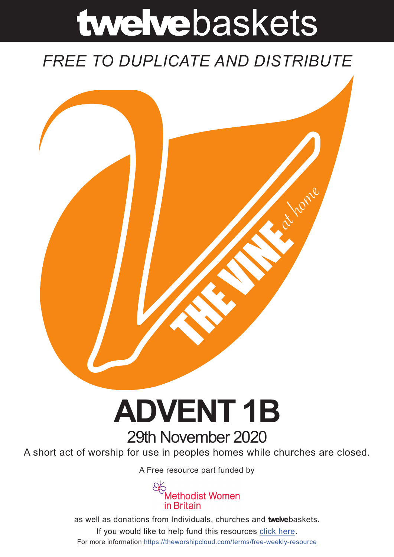# twelvebaskets

### *FREE TO DUPLICATE AND DISTRIBUTE*



## **ADVENT 1B** 29th November 2020

A short act of worship for use in peoples homes while churches are closed.

A [Free resource part funded](https://mwib.org.uk) by



as well as donations from Individuals, churches and **twelve**baskets. If you would like to help fund this resources [click here]( https://theworshipcloud.com/tags/donation). For more information<https://theworshipcloud.com/terms/free-weekly-resource>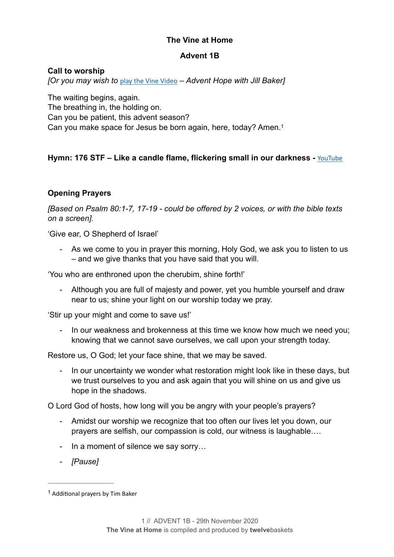#### **The Vine at Home**

#### <span id="page-1-1"></span>**Advent 1B**

#### **Call to worship**

*[Or you may wish to* [play the Vine Video](https://www.theworshipcloud.com/view/store/twelvebaskets-vine-video-hope-in-advent-the-vine-video-advent-sunday) *– Advent Hope with Jill Baker]*

The waiting begins, again. The breathing in, the holding on. Can you be patient, this advent season? Can you make space for Jesus be born again, here, today? Amen[.1](#page-1-0)

#### **Hymn: 176 STF – Like a candle flame, flickering small in our darkness -** [YouTube](https://www.youtube.com/watch?v=cZGVQKjn_V8)

#### **Opening Prayers**

*[Based on Psalm 80:1-7, 17-19 - could be offered by 2 voices, or with the bible texts on a screen].*

'Give ear, O Shepherd of Israel'

As we come to you in prayer this morning, Holy God, we ask you to listen to us – and we give thanks that you have said that you will.

'You who are enthroned upon the cherubim, shine forth!'

- Although you are full of majesty and power, yet you humble yourself and draw near to us; shine your light on our worship today we pray.

'Stir up your might and come to save us!'

In our weakness and brokenness at this time we know how much we need you; knowing that we cannot save ourselves, we call upon your strength today.

Restore us, O God; let your face shine, that we may be saved.

In our uncertainty we wonder what restoration might look like in these days, but we trust ourselves to you and ask again that you will shine on us and give us hope in the shadows.

O Lord God of hosts, how long will you be angry with your people's prayers?

- Amidst our worship we recognize that too often our lives let you down, our prayers are selfish, our compassion is cold, our witness is laughable….
- In a moment of silence we say sorry…
- *[Pause]*

<span id="page-1-0"></span> $1$  Additional prayers by Tim Baker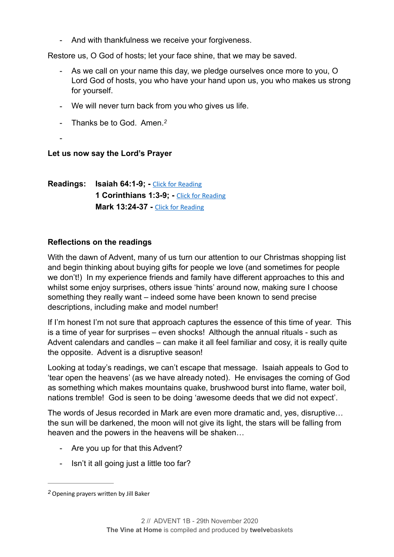- And with thankfulness we receive your forgiveness.

Restore us, O God of hosts; let your face shine, that we may be saved.

- As we call on your name this day, we pledge ourselves once more to you, O Lord God of hosts, you who have your hand upon us, you who makes us strong for yourself.
- We will never turn back from you who gives us life.
- <span id="page-2-1"></span>- Thanks be to God. Amen.*[2](#page-2-0)*
- -

#### **Let us now say the Lord's Prayer**

**Readings: Isaiah 64:1-9; -** [Click for Reading](https://www.biblegateway.com/passage/?search=Isaiah+64:1-9&version=NRSV) **1 Corinthians 1:3-9; -** [Click for Reading](https://www.biblegateway.com/passage/?search=1+Corinthians+1:3-9&version=NRSV) **Mark 13:24-37 -** [Click for Reading](https://www.biblegateway.com/passage/?search=Mark+13:24-37&version=NRSV)

#### **Reflections on the readings**

With the dawn of Advent, many of us turn our attention to our Christmas shopping list and begin thinking about buying gifts for people we love (and sometimes for people we don't!) In my experience friends and family have different approaches to this and whilst some enjoy surprises, others issue 'hints' around now, making sure I choose something they really want – indeed some have been known to send precise descriptions, including make and model number!

If I'm honest I'm not sure that approach captures the essence of this time of year. This is a time of year for surprises – even shocks! Although the annual rituals - such as Advent calendars and candles – can make it all feel familiar and cosy, it is really quite the opposite. Advent is a disruptive season!

Looking at today's readings, we can't escape that message. Isaiah appeals to God to 'tear open the heavens' (as we have already noted). He envisages the coming of God as something which makes mountains quake, brushwood burst into flame, water boil, nations tremble! God is seen to be doing 'awesome deeds that we did not expect'.

The words of Jesus recorded in Mark are even more dramatic and, yes, disruptive… the sun will be darkened, the moon will not give its light, the stars will be falling from heaven and the powers in the heavens will be shaken…

- Are you up for that this Advent?
- Isn't it all going just a little too far?

<span id="page-2-0"></span>Opening prayers written by Jill Baker *[2](#page-2-1)*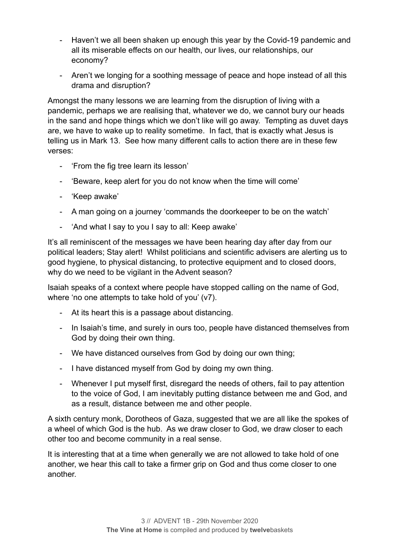- Haven't we all been shaken up enough this year by the Covid-19 pandemic and all its miserable effects on our health, our lives, our relationships, our economy?
- Aren't we longing for a soothing message of peace and hope instead of all this drama and disruption?

Amongst the many lessons we are learning from the disruption of living with a pandemic, perhaps we are realising that, whatever we do, we cannot bury our heads in the sand and hope things which we don't like will go away. Tempting as duvet days are, we have to wake up to reality sometime. In fact, that is exactly what Jesus is telling us in Mark 13. See how many different calls to action there are in these few verses:

- 'From the fig tree learn its lesson'
- 'Beware, keep alert for you do not know when the time will come'
- 'Keep awake'
- A man going on a journey 'commands the doorkeeper to be on the watch'
- 'And what I say to you I say to all: Keep awake'

It's all reminiscent of the messages we have been hearing day after day from our political leaders; Stay alert! Whilst politicians and scientific advisers are alerting us to good hygiene, to physical distancing, to protective equipment and to closed doors, why do we need to be vigilant in the Advent season?

Isaiah speaks of a context where people have stopped calling on the name of God, where 'no one attempts to take hold of you' (v7).

- At its heart this is a passage about distancing.
- In Isaiah's time, and surely in ours too, people have distanced themselves from God by doing their own thing.
- We have distanced ourselves from God by doing our own thing;
- I have distanced myself from God by doing my own thing.
- Whenever I put myself first, disregard the needs of others, fail to pay attention to the voice of God, I am inevitably putting distance between me and God, and as a result, distance between me and other people.

A sixth century monk, Dorotheos of Gaza, suggested that we are all like the spokes of a wheel of which God is the hub. As we draw closer to God, we draw closer to each other too and become community in a real sense.

It is interesting that at a time when generally we are not allowed to take hold of one another, we hear this call to take a firmer grip on God and thus come closer to one another.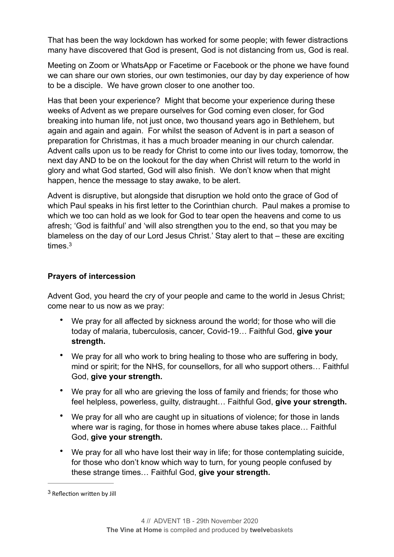That has been the way lockdown has worked for some people; with fewer distractions many have discovered that God is present, God is not distancing from us, God is real.

Meeting on Zoom or WhatsApp or Facetime or Facebook or the phone we have found we can share our own stories, our own testimonies, our day by day experience of how to be a disciple. We have grown closer to one another too.

Has that been your experience? Might that become your experience during these weeks of Advent as we prepare ourselves for God coming even closer, for God breaking into human life, not just once, two thousand years ago in Bethlehem, but again and again and again. For whilst the season of Advent is in part a season of preparation for Christmas, it has a much broader meaning in our church calendar. Advent calls upon us to be ready for Christ to come into our lives today, tomorrow, the next day AND to be on the lookout for the day when Christ will return to the world in glory and what God started, God will also finish. We don't know when that might happen, hence the message to stay awake, to be alert.

Advent is disruptive, but alongside that disruption we hold onto the grace of God of which Paul speaks in his first letter to the Corinthian church. Paul makes a promise to which we too can hold as we look for God to tear open the heavens and come to us afresh; 'God is faithful' and 'will also strengthen you to the end, so that you may be blameless on the day of our Lord Jesus Christ.' Stay alert to that – these are exciting times<sup>3</sup>

#### <span id="page-4-1"></span>**Prayers of intercession**

Advent God, you heard the cry of your people and came to the world in Jesus Christ; come near to us now as we pray:

- We pray for all affected by sickness around the world; for those who will die today of malaria, tuberculosis, cancer, Covid-19… Faithful God, **give your strength.**
- We pray for all who work to bring healing to those who are suffering in body, mind or spirit; for the NHS, for counsellors, for all who support others… Faithful God, **give your strength.**
- We pray for all who are grieving the loss of family and friends; for those who feel helpless, powerless, guilty, distraught… Faithful God, **give your strength.**
- We pray for all who are caught up in situations of violence; for those in lands where war is raging, for those in homes where abuse takes place… Faithful God, **give your strength.**
- We pray for all who have lost their way in life; for those contemplating suicide, for those who don't know which way to turn, for young people confused by these strange times… Faithful God, **give your strength.**

<span id="page-4-0"></span><sup>&</sup>lt;sup>[3](#page-4-1)</sup> Reflection written by Jill